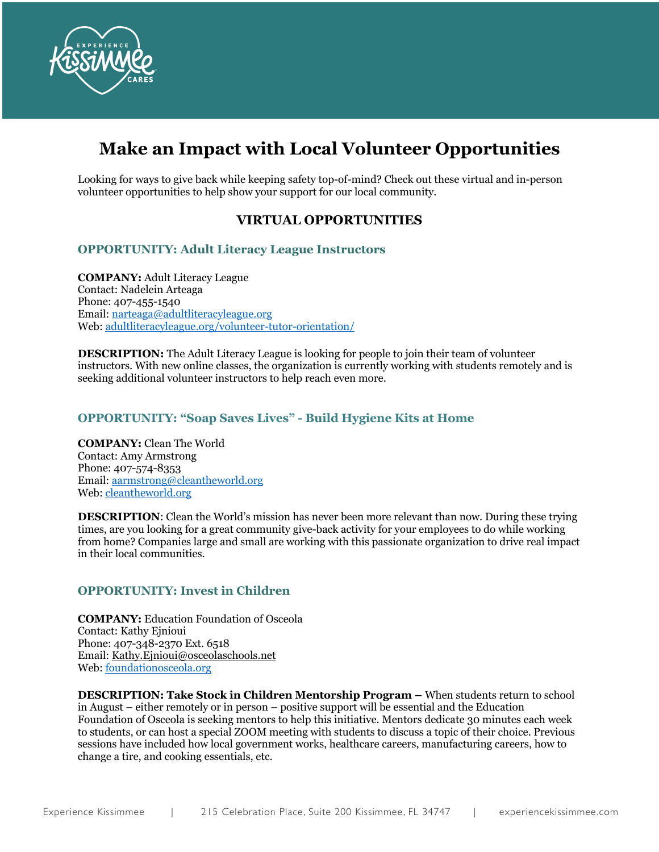

# **Make an Impact with Local Volunteer Opportunities**

Looking for ways to give back while keeping safety top-of-mind? Check out these virtual and in-person volunteer opportunities to help show your support for our local community.

# **VIRTUAL OPPORTUNITIES**

## **OPPORTUNITY: Adult Literacy League Instructors**

**COMPANY:** Adult Literacy League Contact: Nadelein Arteaga Phone: 407-455-1540 Email: narteaga@adultliteracyleague.org Web: adultliteracyleague.org/volunteer-tutor-orientation/

**DESCRIPTION:** The Adult Literacy League is looking for people to join their team of volunteer instructors. With new online classes, the organization is currently working with students remotely and is seeking additional volunteer instructors to help reach even more.

## **OPPORTUNITY: "Soap Saves Lives" - Build Hygiene Kits at Home**

**COMPANY:** Clean The World Contact: Amy Armstrong Phone: 407-574-8353 Email: aarmstrong@cleantheworld.org Web: cleantheworld.org

**DESCRIPTION**: Clean the World's mission has never been more relevant than now. During these trying times, are you looking for a great community give-back activity for your employees to do while working from home? Companies large and small are working with this passionate organization to drive real impact in their local communities.

## **OPPORTUNITY: Invest in Children**

**COMPANY:** Education Foundation of Osceola Contact: Kathy Ejnioui Phone: 407-348-2370 Ext. 6518 Email: Kathy.Ejnioui@osceolaschools.net Web: foundationosceola.org

**DESCRIPTION: Take Stock in Children Mentorship Program –** When students return to school in August – either remotely or in person – positive support will be essential and the Education Foundation of Osceola is seeking mentors to help this initiative. Mentors dedicate 30 minutes each week to students, or can host a special ZOOM meeting with students to discuss a topic of their choice. Previous sessions have included how local government works, healthcare careers, manufacturing careers, how to change a tire, and cooking essentials, etc.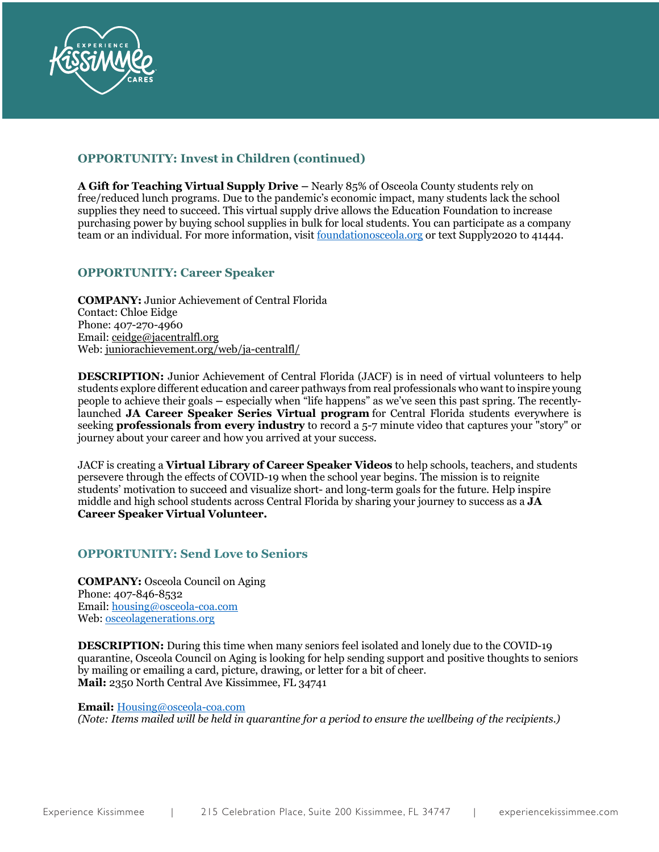

# **OPPORTUNITY: Invest in Children (continued)**

**A Gift for Teaching Virtual Supply Drive –** Nearly 85% of Osceola County students rely on free/reduced lunch programs. Due to the pandemic's economic impact, many students lack the school supplies they need to succeed. This virtual supply drive allows the Education Foundation to increase purchasing power by buying school supplies in bulk for local students. You can participate as a company team or an individual. For more information, visit <u>foundationosceola.org</u> or text Supply2020 to 41444.

## **OPPORTUNITY: Career Speaker**

**COMPANY:** Junior Achievement of Central Florida Contact: Chloe Eidge Phone: 407-270-4960 Email: ceidge@jacentralfl.org Web: juniorachievement.org/web/ja-centralfl/

**DESCRIPTION:** Junior Achievement of Central Florida (JACF) is in need of virtual volunteers to help students explore different education and career pathways from real professionals who want to inspire young people to achieve their goals **–** especially when "life happens" as we've seen this past spring. The recentlylaunched **JA Career Speaker Series Virtual program** for Central Florida students everywhere is seeking **professionals from every industry** to record a 5-7 minute video that captures your "story" or journey about your career and how you arrived at your success.

JACF is creating a **Virtual Library of Career Speaker Videos** to help schools, teachers, and students persevere through the effects of COVID-19 when the school year begins. The mission is to reignite students' motivation to succeed and visualize short- and long-term goals for the future. Help inspire middle and high school students across Central Florida by sharing your journey to success as a **JA Career Speaker Virtual Volunteer.**

## **OPPORTUNITY: Send Love to Seniors**

**COMPANY:** Osceola Council on Aging Phone: 407-846-8532 Email: housing@osceola-coa.com Web: osceolagenerations.org

**DESCRIPTION:** During this time when many seniors feel isolated and lonely due to the COVID-19 quarantine, Osceola Council on Aging is looking for help sending support and positive thoughts to seniors by mailing or emailing a card, picture, drawing, or letter for a bit of cheer. **Mail:** 2350 North Central Ave Kissimmee, FL 34741

**Email:** Housing@osceola-coa.com

*(Note: Items mailed will be held in quarantine for a period to ensure the wellbeing of the recipients.)*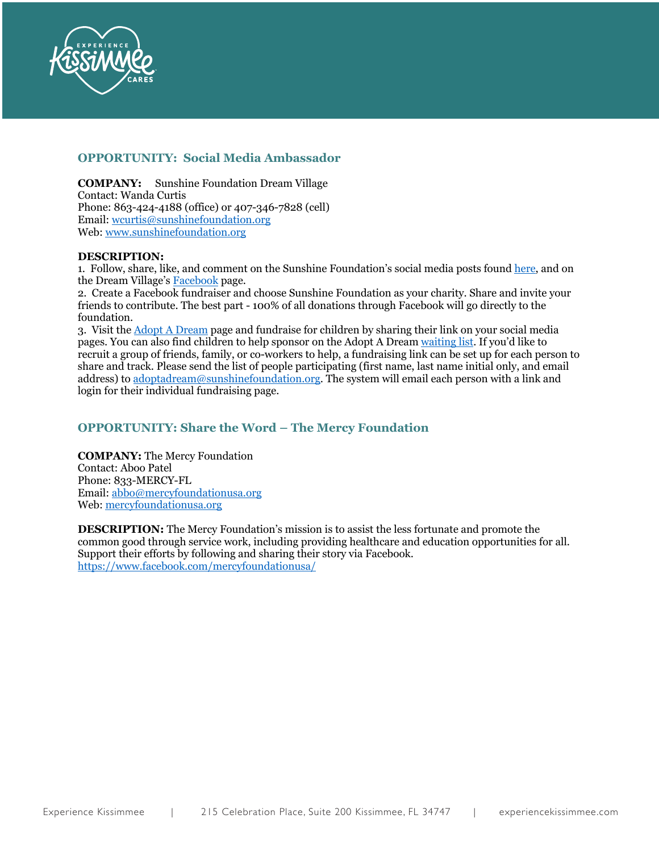

## **OPPORTUNITY: Social Media Ambassador**

**COMPANY:** Sunshine Foundation Dream Village Contact: Wanda Curtis Phone: 863-424-4188 (office) or 407-346-7828 (cell) Email: wcurtis@sunshinefoundation.org Web: www.sunshinefoundation.org

#### **DESCRIPTION:**

1. Follow, share, like, and comment on the Sunshine Foundation's social media posts found here, and on the Dream Village's Facebook page.

2. Create a Facebook fundraiser and choose Sunshine Foundation as your charity. Share and invite your friends to contribute. The best part - 100% of all donations through Facebook will go directly to the foundation.

3. Visit the Adopt A Dream page and fundraise for children by sharing their link on your social media pages. You can also find children to help sponsor on the Adopt A Dream waiting list. If you'd like to recruit a group of friends, family, or co-workers to help, a fundraising link can be set up for each person to share and track. Please send the list of people participating (first name, last name initial only, and email address) to adoptadream@sunshinefoundation.org. The system will email each person with a link and login for their individual fundraising page.

# **OPPORTUNITY: Share the Word – The Mercy Foundation**

**COMPANY:** The Mercy Foundation Contact: Aboo Patel Phone: 833-MERCY-FL Email: abbo@mercyfoundationusa.org Web: mercyfoundationusa.org

**DESCRIPTION:** The Mercy Foundation's mission is to assist the less fortunate and promote the common good through service work, including providing healthcare and education opportunities for all. Support their efforts by following and sharing their story via Facebook. https://www.facebook.com/mercyfoundationusa/